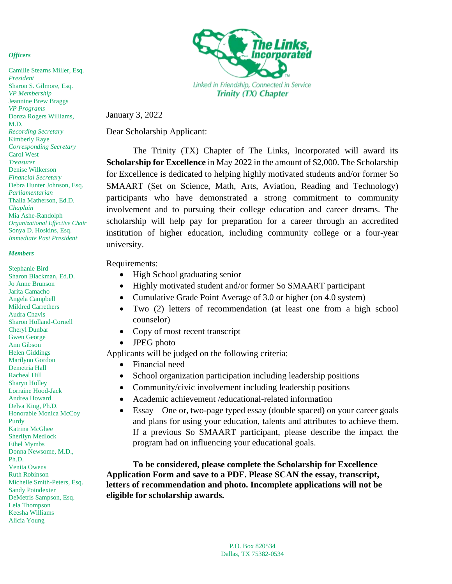### *Officers*

Camille Stearns Miller, Esq. *President* Sharon S. Gilmore, Esq. *VP Membership* Jeannine Brew Braggs *VP Programs* Donza Rogers Williams, M.D. *Recording Secretary* Kimberly Raye *Corresponding Secretary* Carol West *Treasurer* Denise Wilkerson *Financial Secretary* Debra Hunter Johnson, Esq. *Parliamentarian* Thalia Matherson, Ed.D. *Chaplain* Mia Ashe-Randolph *Organizational Effective Chair* Sonya D. Hoskins, Esq. *Immediate Past President*

#### *Members*

Stephanie Bird Sharon Blackman, Ed.D. Jo Anne Brunson Jarita Camacho Angela Campbell Mildred Carrethers Audra Chavis Sharon Holland-Cornell Cheryl Dunbar Gwen George Ann Gibson Helen Giddings Marilynn Gordon Demetria Hall Racheal Hill Sharyn Holley Lorraine Hood-Jack Andrea Howard Delva King, Ph.D. Honorable Monica McCoy Purdy Katrina McGhee Sherilyn Medlock Ethel Mymbs Donna Newsome, M.D., Ph.D. Venita Owens Ruth Robinson Michelle Smith-Peters, Esq. Sandy Poindexter DeMetris Sampson, Esq. Lela Thompson Keesha Williams Alicia Young



January 3, 2022

Dear Scholarship Applicant:

The Trinity (TX) Chapter of The Links, Incorporated will award its **Scholarship for Excellence** in May 2022 in the amount of \$2,000. The Scholarship for Excellence is dedicated to helping highly motivated students and/or former So SMAART (Set on Science, Math, Arts, Aviation, Reading and Technology) participants who have demonstrated a strong commitment to community involvement and to pursuing their college education and career dreams. The scholarship will help pay for preparation for a career through an accredited institution of higher education, including community college or a four-year university.

### Requirements:

- High School graduating senior
- Highly motivated student and/or former So SMAART participant
- Cumulative Grade Point Average of 3.0 or higher (on 4.0 system)
- Two (2) letters of recommendation (at least one from a high school counselor)
- Copy of most recent transcript
- JPEG photo

Applicants will be judged on the following criteria:

- Financial need
- School organization participation including leadership positions
- Community/civic involvement including leadership positions
- Academic achievement /educational-related information
- Essay One or, two-page typed essay (double spaced) on your career goals and plans for using your education, talents and attributes to achieve them. If a previous So SMAART participant, please describe the impact the program had on influencing your educational goals.

**To be considered, please complete the Scholarship for Excellence Application Form and save to a PDF. Please SCAN the essay, transcript, letters of recommendation and photo. Incomplete applications will not be eligible for scholarship awards.**